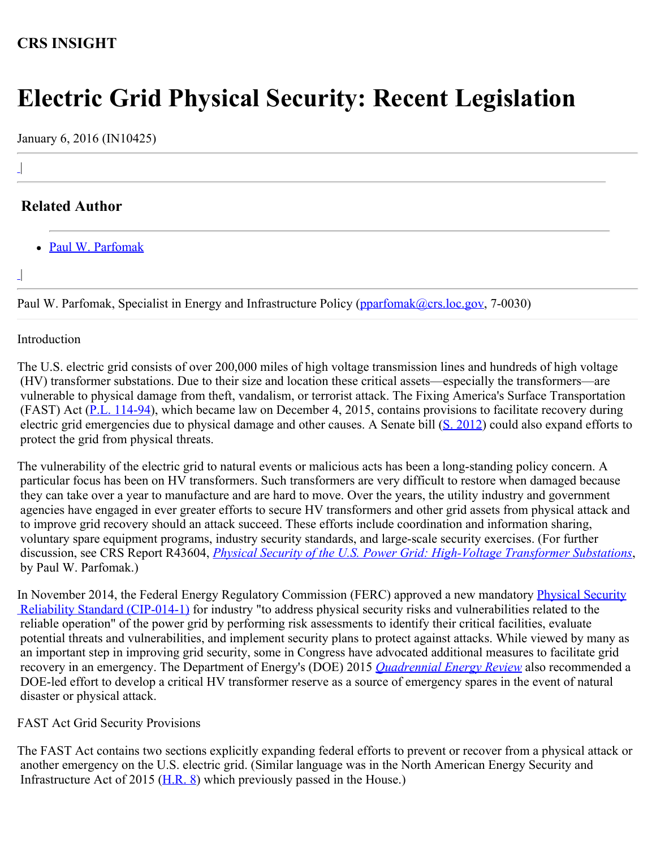## **CRS INSIGHT**

# **Electric Grid Physical Security: Recent Legislation**

January 6, 2016 (IN10425)

## **Related Author**

[Paul W. Parfomak](http://www.crs.gov/Author/index?id=77139)

|  $\overline{\phantom{a}}$ 

|

 $\overline{\phantom{a}}$ 

Paul W. Parfomak, Specialist in Energy and Infrastructure Policy [\(pparfomak@crs.loc.gov,](mailto:pparfomak@crs.loc.gov) 7-0030)

#### Introduction

The U.S. electric grid consists of over 200,000 miles of high voltage transmission lines and hundreds of high voltage (HV) transformer substations. Due to their size and location these critical assets—especially the transformers—are vulnerable to physical damage from theft, vandalism, or terrorist attack. The Fixing America's Surface Transportation (FAST) Act ([P.L. 114-94\)](http://www.congress.gov/cgi-lis/bdquery/R?d114:FLD002:@1(114+94)), which became law on December 4, 2015, contains provisions to facilitate recovery during electric grid emergencies due to physical damage and other causes. A Senate bill ([S. 2012](http://www.congress.gov/cgi-lis/bdquery/z?d114:S.2012:)) could also expand efforts to protect the grid from physical threats.

The vulnerability of the electric grid to natural events or malicious acts has been a long-standing policy concern. A particular focus has been on HV transformers. Such transformers are very difficult to restore when damaged because they can take over a year to manufacture and are hard to move. Over the years, the utility industry and government agencies have engaged in ever greater efforts to secure HV transformers and other grid assets from physical attack and to improve grid recovery should an attack succeed. These efforts include coordination and information sharing, voluntary spare equipment programs, industry security standards, and large-scale security exercises. (For further discussion, see CRS Report R43604, *[Physical Security of the U.S. Power Grid: High-Voltage Transformer Substations](http://www.fas.org/sgp/crs/homesec/R43604.pdf)*, by Paul W. Parfomak.)

In November 2014, the Federal Energy Regulatory Commission (FERC) approved a new mandatory *Physical Security*  [Reliability Standard \(CIP-014-1\)](https://www.ferc.gov/whats-new/comm-meet/2014/112014/E-4.pdf) for industry "to address physical security risks and vulnerabilities related to the reliable operation" of the power grid by performing risk assessments to identify their critical facilities, evaluate potential threats and vulnerabilities, and implement security plans to protect against attacks. While viewed by many as an important step in improving grid security, some in Congress have advocated additional measures to facilitate grid recovery in an emergency. The Department of Energy's (DOE) 2015 *[Quadrennial Energy Review](http://energy.gov/epsa/downloads/quadrennial-energy-review-full-report)* also recommended a DOE-led effort to develop a critical HV transformer reserve as a source of emergency spares in the event of natural disaster or physical attack.

### FAST Act Grid Security Provisions

The FAST Act contains two sections explicitly expanding federal efforts to prevent or recover from a physical attack or another emergency on the U.S. electric grid. (Similar language was in the North American Energy Security and Infrastructure Act of 2015 [\(H.R. 8](http://www.congress.gov/cgi-lis/bdquery/z?d114:H.R.8:)) which previously passed in the House.)